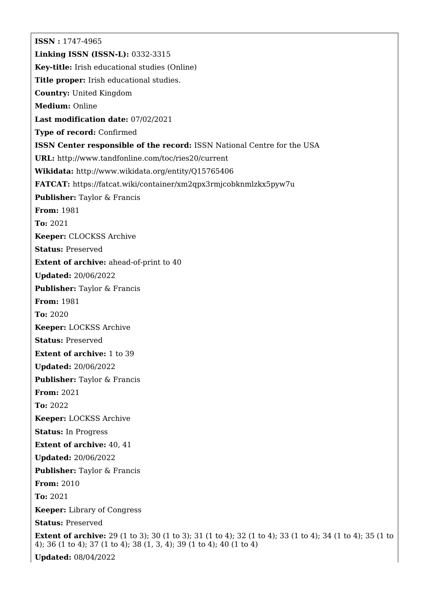**ISSN :** 1747-4965 **Linking ISSN (ISSN-L):** 0332-3315 **Key-title:** Irish educational studies (Online) **Title proper:** Irish educational studies. **Country:** United Kingdom **Medium:** Online **Last modification date:** 07/02/2021 **Type of record:** Confirmed **ISSN Center responsible of the record:** ISSN National Centre for the USA **URL:** <http://www.tandfonline.com/toc/ries20/current> **Wikidata:** <http://www.wikidata.org/entity/Q15765406> **FATCAT:** <https://fatcat.wiki/container/xm2qpx3rmjcobknmlzkx5pyw7u> **Publisher:** Taylor & Francis **From:** 1981 **To:** 2021 **Keeper:** CLOCKSS Archive **Status:** Preserved **Extent of archive:** ahead-of-print to 40 **Updated:** 20/06/2022 **Publisher:** Taylor & Francis **From:** 1981 **To:** 2020 **Keeper:** LOCKSS Archive **Status:** Preserved **Extent of archive:** 1 to 39 **Updated:** 20/06/2022 **Publisher:** Taylor & Francis **From:** 2021 **To:** 2022 **Keeper:** LOCKSS Archive **Status:** In Progress **Extent of archive:** 40, 41 **Updated:** 20/06/2022 **Publisher:** Taylor & Francis **From:** 2010 **To:** 2021 **Keeper:** Library of Congress **Status:** Preserved **Extent of archive:** 29 (1 to 3); 30 (1 to 3); 31 (1 to 4); 32 (1 to 4); 33 (1 to 4); 34 (1 to 4); 35 (1 to 4); 36 (1 to 4); 37 (1 to 4); 38 (1, 3, 4); 39 (1 to 4); 40 (1 to 4) **Updated:** 08/04/2022